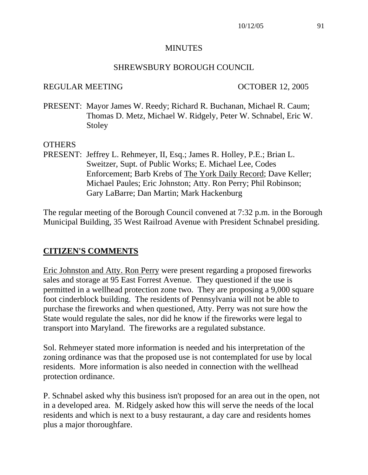#### **MINUTES**

#### SHREWSBURY BOROUGH COUNCIL

#### REGULAR MEETING OCTOBER 12, 2005

PRESENT: Mayor James W. Reedy; Richard R. Buchanan, Michael R. Caum; Thomas D. Metz, Michael W. Ridgely, Peter W. Schnabel, Eric W. Stoley

#### **OTHERS**

PRESENT: Jeffrey L. Rehmeyer, II, Esq.; James R. Holley, P.E.; Brian L. Sweitzer, Supt. of Public Works; E. Michael Lee, Codes Enforcement; Barb Krebs of The York Daily Record; Dave Keller; Michael Paules; Eric Johnston; Atty. Ron Perry; Phil Robinson; Gary LaBarre; Dan Martin; Mark Hackenburg

The regular meeting of the Borough Council convened at 7:32 p.m. in the Borough Municipal Building, 35 West Railroad Avenue with President Schnabel presiding.

#### **CITIZEN'S COMMENTS**

Eric Johnston and Atty. Ron Perry were present regarding a proposed fireworks sales and storage at 95 East Forrest Avenue. They questioned if the use is permitted in a wellhead protection zone two. They are proposing a 9,000 square foot cinderblock building. The residents of Pennsylvania will not be able to purchase the fireworks and when questioned, Atty. Perry was not sure how the State would regulate the sales, nor did he know if the fireworks were legal to transport into Maryland. The fireworks are a regulated substance.

Sol. Rehmeyer stated more information is needed and his interpretation of the zoning ordinance was that the proposed use is not contemplated for use by local residents. More information is also needed in connection with the wellhead protection ordinance.

P. Schnabel asked why this business isn't proposed for an area out in the open, not in a developed area. M. Ridgely asked how this will serve the needs of the local residents and which is next to a busy restaurant, a day care and residents homes plus a major thoroughfare.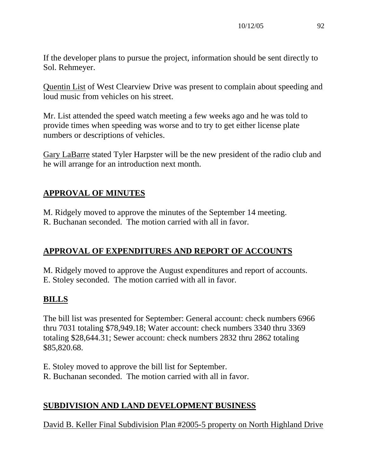If the developer plans to pursue the project, information should be sent directly to Sol. Rehmeyer.

Quentin List of West Clearview Drive was present to complain about speeding and loud music from vehicles on his street.

Mr. List attended the speed watch meeting a few weeks ago and he was told to provide times when speeding was worse and to try to get either license plate numbers or descriptions of vehicles.

Gary LaBarre stated Tyler Harpster will be the new president of the radio club and he will arrange for an introduction next month.

# **APPROVAL OF MINUTES**

M. Ridgely moved to approve the minutes of the September 14 meeting. R. Buchanan seconded. The motion carried with all in favor.

## **APPROVAL OF EXPENDITURES AND REPORT OF ACCOUNTS**

M. Ridgely moved to approve the August expenditures and report of accounts. E. Stoley seconded. The motion carried with all in favor.

# **BILLS**

The bill list was presented for September: General account: check numbers 6966 thru 7031 totaling \$78,949.18; Water account: check numbers 3340 thru 3369 totaling \$28,644.31; Sewer account: check numbers 2832 thru 2862 totaling \$85,820.68.

- E. Stoley moved to approve the bill list for September.
- R. Buchanan seconded. The motion carried with all in favor.

## **SUBDIVISION AND LAND DEVELOPMENT BUSINESS**

David B. Keller Final Subdivision Plan #2005-5 property on North Highland Drive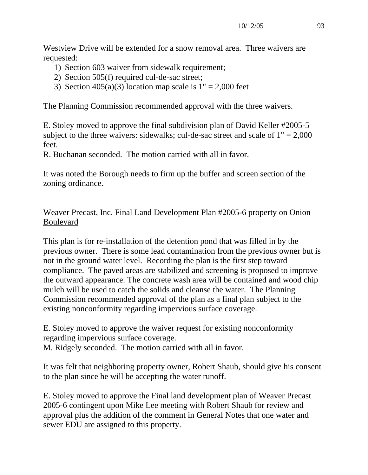Westview Drive will be extended for a snow removal area. Three waivers are requested:

- 1) Section 603 waiver from sidewalk requirement;
- 2) Section 505(f) required cul-de-sac street;
- 3) Section  $405(a)(3)$  location map scale is  $1" = 2,000$  feet

The Planning Commission recommended approval with the three waivers.

E. Stoley moved to approve the final subdivision plan of David Keller #2005-5 subject to the three waivers: sidewalks; cul-de-sac street and scale of  $1" = 2,000$ feet.

R. Buchanan seconded. The motion carried with all in favor.

It was noted the Borough needs to firm up the buffer and screen section of the zoning ordinance.

# Weaver Precast, Inc. Final Land Development Plan #2005-6 property on Onion Boulevard

This plan is for re-installation of the detention pond that was filled in by the previous owner. There is some lead contamination from the previous owner but is not in the ground water level. Recording the plan is the first step toward compliance. The paved areas are stabilized and screening is proposed to improve the outward appearance. The concrete wash area will be contained and wood chip mulch will be used to catch the solids and cleanse the water. The Planning Commission recommended approval of the plan as a final plan subject to the existing nonconformity regarding impervious surface coverage.

E. Stoley moved to approve the waiver request for existing nonconformity regarding impervious surface coverage. M. Ridgely seconded. The motion carried with all in favor.

It was felt that neighboring property owner, Robert Shaub, should give his consent to the plan since he will be accepting the water runoff.

E. Stoley moved to approve the Final land development plan of Weaver Precast 2005-6 contingent upon Mike Lee meeting with Robert Shaub for review and approval plus the addition of the comment in General Notes that one water and sewer EDU are assigned to this property.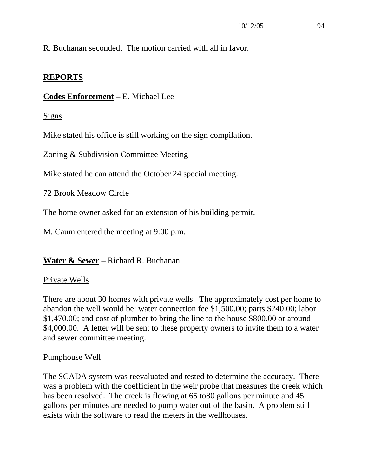R. Buchanan seconded. The motion carried with all in favor.

## **REPORTS**

# **Codes Enforcement** – E. Michael Lee

Signs

Mike stated his office is still working on the sign compilation.

Zoning & Subdivision Committee Meeting

Mike stated he can attend the October 24 special meeting.

72 Brook Meadow Circle

The home owner asked for an extension of his building permit.

M. Caum entered the meeting at 9:00 p.m.

**Water & Sewer** – Richard R. Buchanan

## Private Wells

There are about 30 homes with private wells. The approximately cost per home to abandon the well would be: water connection fee \$1,500.00; parts \$240.00; labor \$1,470.00; and cost of plumber to bring the line to the house \$800.00 or around \$4,000.00. A letter will be sent to these property owners to invite them to a water and sewer committee meeting.

## Pumphouse Well

The SCADA system was reevaluated and tested to determine the accuracy. There was a problem with the coefficient in the weir probe that measures the creek which has been resolved. The creek is flowing at 65 to 80 gallons per minute and 45 gallons per minutes are needed to pump water out of the basin. A problem still exists with the software to read the meters in the wellhouses.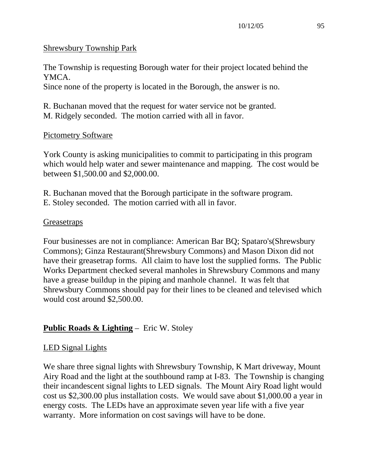## Shrewsbury Township Park

The Township is requesting Borough water for their project located behind the YMCA.

Since none of the property is located in the Borough, the answer is no.

R. Buchanan moved that the request for water service not be granted. M. Ridgely seconded. The motion carried with all in favor.

## Pictometry Software

York County is asking municipalities to commit to participating in this program which would help water and sewer maintenance and mapping. The cost would be between \$1,500.00 and \$2,000.00.

R. Buchanan moved that the Borough participate in the software program. E. Stoley seconded. The motion carried with all in favor.

#### **Greasetraps**

Four businesses are not in compliance: American Bar BQ; Spataro's(Shrewsbury Commons); Ginza Restaurant(Shrewsbury Commons) and Mason Dixon did not have their greasetrap forms. All claim to have lost the supplied forms. The Public Works Department checked several manholes in Shrewsbury Commons and many have a grease buildup in the piping and manhole channel. It was felt that Shrewsbury Commons should pay for their lines to be cleaned and televised which would cost around \$2,500.00.

# **Public Roads & Lighting** – Eric W. Stoley

## LED Signal Lights

We share three signal lights with Shrewsbury Township, K Mart driveway, Mount Airy Road and the light at the southbound ramp at I-83. The Township is changing their incandescent signal lights to LED signals. The Mount Airy Road light would cost us \$2,300.00 plus installation costs. We would save about \$1,000.00 a year in energy costs. The LEDs have an approximate seven year life with a five year warranty. More information on cost savings will have to be done.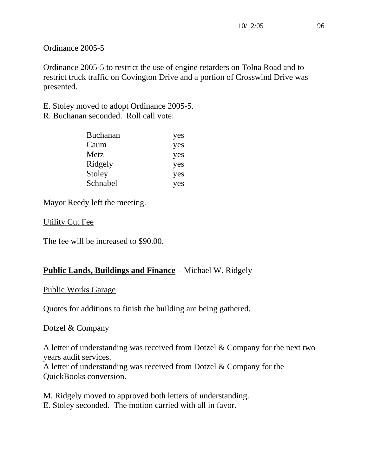#### Ordinance 2005-5

Ordinance 2005-5 to restrict the use of engine retarders on Tolna Road and to restrict truck traffic on Covington Drive and a portion of Crosswind Drive was presented.

E. Stoley moved to adopt Ordinance 2005-5.

R. Buchanan seconded. Roll call vote:

| <b>Buchanan</b> | yes |
|-----------------|-----|
| Caum            | yes |
| Metz            | yes |
| Ridgely         | yes |
| Stoley          | yes |
| Schnabel        | yes |

Mayor Reedy left the meeting.

#### Utility Cut Fee

The fee will be increased to \$90.00.

# **Public Lands, Buildings and Finance** – Michael W. Ridgely

#### Public Works Garage

Quotes for additions to finish the building are being gathered.

## Dotzel & Company

A letter of understanding was received from Dotzel & Company for the next two years audit services.

A letter of understanding was received from Dotzel & Company for the QuickBooks conversion.

M. Ridgely moved to approved both letters of understanding. E. Stoley seconded. The motion carried with all in favor.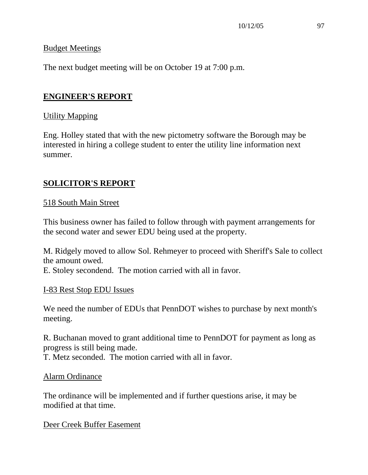#### Budget Meetings

The next budget meeting will be on October 19 at 7:00 p.m.

# **ENGINEER'S REPORT**

#### Utility Mapping

Eng. Holley stated that with the new pictometry software the Borough may be interested in hiring a college student to enter the utility line information next summer.

# **SOLICITOR'S REPORT**

#### 518 South Main Street

This business owner has failed to follow through with payment arrangements for the second water and sewer EDU being used at the property.

M. Ridgely moved to allow Sol. Rehmeyer to proceed with Sheriff's Sale to collect the amount owed.

E. Stoley secondend. The motion carried with all in favor.

#### I-83 Rest Stop EDU Issues

We need the number of EDUs that PennDOT wishes to purchase by next month's meeting.

R. Buchanan moved to grant additional time to PennDOT for payment as long as progress is still being made.

T. Metz seconded. The motion carried with all in favor.

#### Alarm Ordinance

The ordinance will be implemented and if further questions arise, it may be modified at that time.

Deer Creek Buffer Easement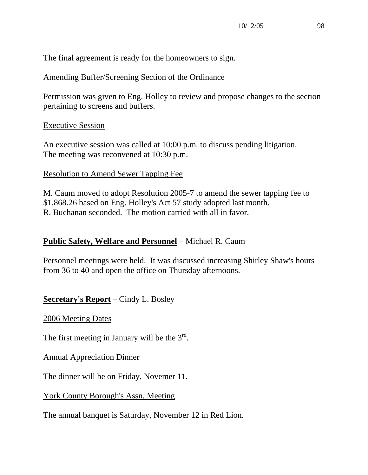The final agreement is ready for the homeowners to sign.

#### Amending Buffer/Screening Section of the Ordinance

Permission was given to Eng. Holley to review and propose changes to the section pertaining to screens and buffers.

#### Executive Session

An executive session was called at 10:00 p.m. to discuss pending litigation. The meeting was reconvened at 10:30 p.m.

#### Resolution to Amend Sewer Tapping Fee

M. Caum moved to adopt Resolution 2005-7 to amend the sewer tapping fee to \$1,868.26 based on Eng. Holley's Act 57 study adopted last month. R. Buchanan seconded. The motion carried with all in favor.

#### **Public Safety, Welfare and Personnel** – Michael R. Caum

Personnel meetings were held. It was discussed increasing Shirley Shaw's hours from 36 to 40 and open the office on Thursday afternoons.

#### **Secretary's Report** – Cindy L. Bosley

2006 Meeting Dates

The first meeting in January will be the  $3<sup>rd</sup>$ .

Annual Appreciation Dinner

The dinner will be on Friday, Novemer 11.

#### York County Borough's Assn. Meeting

The annual banquet is Saturday, November 12 in Red Lion.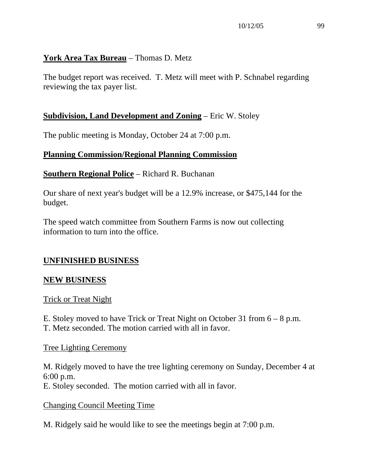## **York Area Tax Bureau** – Thomas D. Metz

The budget report was received. T. Metz will meet with P. Schnabel regarding reviewing the tax payer list.

## **Subdivision, Land Development and Zoning** – Eric W. Stoley

The public meeting is Monday, October 24 at 7:00 p.m.

# **Planning Commission/Regional Planning Commission**

#### **Southern Regional Police** – Richard R. Buchanan

Our share of next year's budget will be a 12.9% increase, or \$475,144 for the budget.

The speed watch committee from Southern Farms is now out collecting information to turn into the office.

## **UNFINISHED BUSINESS**

#### **NEW BUSINESS**

#### Trick or Treat Night

E. Stoley moved to have Trick or Treat Night on October 31 from 6 – 8 p.m. T. Metz seconded. The motion carried with all in favor.

#### Tree Lighting Ceremony

M. Ridgely moved to have the tree lighting ceremony on Sunday, December 4 at 6:00 p.m. E. Stoley seconded. The motion carried with all in favor.

#### Changing Council Meeting Time

M. Ridgely said he would like to see the meetings begin at 7:00 p.m.